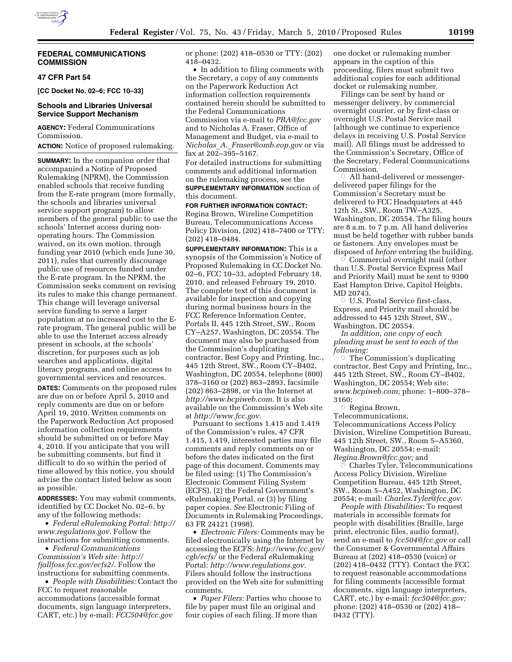

#### **FEDERAL COMMUNICATIONS COMMISSION**

### **47 CFR Part 54**

**[CC Docket No. 02–6; FCC 10–33]** 

### **Schools and Libraries Universal Service Support Mechanism**

**AGENCY:** Federal Communications Commission.

**ACTION:** Notice of proposed rulemaking.

**SUMMARY:** In the companion order that accompanied a Notice of Proposed Rulemaking (NPRM), the Commission enabled schools that receive funding from the E-rate program (more formally, the schools and libraries universal service support program) to allow members of the general public to use the schools' Internet access during nonoperating hours. The Commission waived, on its own motion, through funding year 2010 (which ends June 30, 2011), rules that currently discourage public use of resources funded under the E-rate program. In the NPRM, the Commission seeks comment on revising its rules to make this change permanent. This change will leverage universal service funding to serve a larger population at no increased cost to the Erate program. The general public will be able to use the Internet access already present in schools, at the schools' discretion, for purposes such as job searches and applications, digital literacy programs, and online access to governmental services and resources.

**DATES:** Comments on the proposed rules are due on or before April 5, 2010 and reply comments are due on or before April 19, 2010. Written comments on the Paperwork Reduction Act proposed information collection requirements should be submitted on or before May 4, 2010. If you anticipate that you will be submitting comments, but find it difficult to do so within the period of time allowed by this notice, you should advise the contact listed below as soon as possible.

**ADDRESSES:** You may submit comments, identified by CC Docket No. 02–6, by any of the following methods:

• *Federal eRulemaking Portal: http:// www.regulations.gov*. Follow the instructions for submitting comments.

• *Federal Communications Commission's Web site: http:// fjallfoss.fcc.gov/ecfs2/*. Follow the instructions for submitting comments.

• *People with Disabilities:* Contact the FCC to request reasonable accommodations (accessible format documents, sign language interpreters, CART, etc.) by e-mail: *FCC504@fcc.gov* 

or phone: (202) 418–0530 or TTY: (202) 418–0432.

• In addition to filing comments with the Secretary, a copy of any comments on the Paperwork Reduction Act information collection requirements contained herein should be submitted to the Federal Communications Commission via e-mail to *PRA@fcc.gov*  and to Nicholas A. Fraser, Office of Management and Budget, via e-mail to *Nicholas*\_*A.*\_*Fraser@omb.eop.gov* or via fax at 202–395–5167.

For detailed instructions for submitting comments and additional information on the rulemaking process, see the

**SUPPLEMENTARY INFORMATION** section of this document.

**FOR FURTHER INFORMATION CONTACT:**  Regina Brown, Wireline Competition Bureau, Telecommunications Access Policy Division, (202) 418–7400 or TTY: (202) 418–0484.

**SUPPLEMENTARY INFORMATION:** This is a synopsis of the Commission's Notice of Proposed Rulemaking in CC Docket No. 02–6, FCC 10–33, adopted February 18, 2010, and released February 19, 2010. The complete text of this document is available for inspection and copying during normal business hours in the FCC Reference Information Center, Portals II, 445 12th Street, SW., Room CY–A257, Washington, DC 20554. The document may also be purchased from the Commission's duplicating contractor, Best Copy and Printing, Inc., 445 12th Street, SW., Room CY–B402, Washington, DC 20554, telephone (800) 378–3160 or (202) 863–2893, facsimile (202) 863–2898, or via the Internet at *http://www.bcpiweb.com*. It is also available on the Commission's Web site at *http://www.fcc.gov*.

Pursuant to sections 1.415 and 1.419 of the Commission's rules, 47 CFR 1.415, 1.419, interested parties may file comments and reply comments on or before the dates indicated on the first page of this document. Comments may be filed using: (1) The Commission's Electronic Comment Filing System (ECFS), (2) the Federal Government's eRulemaking Portal, or (3) by filing paper copies. *See* Electronic Filing of Documents in Rulemaking Proceedings, 63 FR 24121 (1998).

• *Electronic Filers:* Comments may be filed electronically using the Internet by accessing the ECFS: *http://www.fcc.gov/ cgb/ecfs/* or the Federal eRulemaking Portal: *http://www.regulations.gov*. Filers should follow the instructions provided on the Web site for submitting comments.

• *Paper Filers:* Parties who choose to file by paper must file an original and four copies of each filing. If more than

one docket or rulemaking number appears in the caption of this proceeding, filers must submit two additional copies for each additional docket or rulemaking number.

Filings can be sent by hand or messenger delivery, by commercial overnight courier, or by first-class or overnight U.S. Postal Service mail (although we continue to experience delays in receiving U.S. Postal Service mail). All filings must be addressed to the Commission's Secretary, Office of the Secretary, Federal Communications Commission.

 $\circ$  All hand-delivered or messengerdelivered paper filings for the Commission's Secretary must be delivered to FCC Headquarters at 445 12th St., SW., Room TW–A325, Washington, DC 20554. The filing hours are 8 a.m. to 7 p.m. All hand deliveries must be held together with rubber bands or fasteners. Any envelopes must be disposed of *before* entering the building. Æ

 Commercial overnight mail (other than U.S. Postal Service Express Mail and Priority Mail) must be sent to 9300 East Hampton Drive, Capitol Heights, MD 20743.

O U.S. Postal Service first-class, Express, and Priority mail should be addressed to 445 12th Street, SW., Washington, DC 20554.

*In addition, one copy of each pleading must be sent to each of the following:* 

Æ The Commission's duplicating contractor, Best Copy and Printing, Inc., 445 12th Street, SW., Room CY–B402, Washington, DC 20554; Web site: *www.bcpiweb.com;* phone: 1–800–378– 3160;

 $\circ$  Regina Brown, Telecommunications,

Telecommunications Access Policy Division, Wireline Competition Bureau, 445 12th Street, SW., Room 5–A5360, Washington, DC 20554; e-mail: *Regina.Brown@fcc.gov;* and Æ

 Charles Tyler, Telecommunications Access Policy Division, Wireline Competition Bureau, 445 12th Street, SW., Room 5–A452, Washington, DC 20554; e-mail: *Charles.Tyler@fcc.gov*.

*People with Disabilities:* To request materials in accessible formats for people with disabilities (Braille, large print, electronic files, audio format), send an e-mail to *fcc504@fcc.gov* or call the Consumer & Governmental Affairs Bureau at (202) 418–0530 (voice) or (202) 418–0432 (TTY). Contact the FCC to request reasonable accommodations for filing comments (accessible format documents, sign language interpreters, CART, etc.) by e-mail: *fcc504@fcc.gov;*  phone: (202) 418–0530 or (202) 418– 0432 (TTY).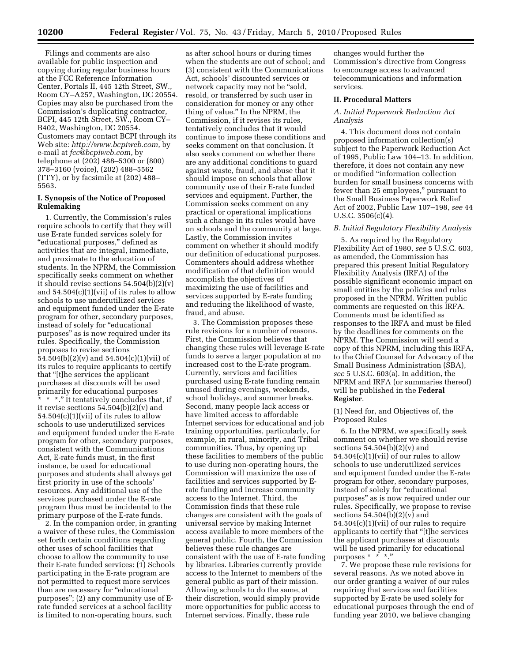Filings and comments are also available for public inspection and copying during regular business hours at the FCC Reference Information Center, Portals II, 445 12th Street, SW., Room CY–A257, Washington, DC 20554. Copies may also be purchased from the Commission's duplicating contractor, BCPI, 445 12th Street, SW., Room CY– B402, Washington, DC 20554. Customers may contact BCPI through its Web site: *http://www.bcpiweb.com*, by e-mail at *fcc@bcpiweb.com*, by telephone at (202) 488–5300 or (800) 378–3160 (voice), (202) 488–5562 (TTY), or by facsimile at (202) 488– 5563.

# **I. Synopsis of the Notice of Proposed Rulemaking**

1. Currently, the Commission's rules require schools to certify that they will use E-rate funded services solely for "educational purposes," defined as activities that are integral, immediate, and proximate to the education of students. In the NPRM, the Commission specifically seeks comment on whether it should revise sections 54.504(b)(2)(v) and  $54.504(c)(1)(vii)$  of its rules to allow schools to use underutilized services and equipment funded under the E-rate program for other, secondary purposes, instead of solely for ''educational purposes'' as is now required under its rules. Specifically, the Commission proposes to revise sections  $\overline{54.504(b)(2)}(v)$  and  $54.504(c)(1)(vii)$  of its rules to require applicants to certify that ''[t]he services the applicant purchases at discounts will be used primarily for educational purposes \* \* \*.'' It tentatively concludes that, if

it revise sections  $54.504(b)(2)(v)$  and  $54.504(c)(1)(vii)$  of its rules to allow schools to use underutilized services and equipment funded under the E-rate program for other, secondary purposes, consistent with the Communications Act, E-rate funds must, in the first instance, be used for educational purposes and students shall always get first priority in use of the schools' resources. Any additional use of the services purchased under the E-rate program thus must be incidental to the primary purpose of the E-rate funds.

2. In the companion order, in granting a waiver of these rules, the Commission set forth certain conditions regarding other uses of school facilities that choose to allow the community to use their E-rate funded services: (1) Schools participating in the E-rate program are not permitted to request more services than are necessary for "educational purposes''; (2) any community use of Erate funded services at a school facility is limited to non-operating hours, such

as after school hours or during times when the students are out of school; and (3) consistent with the Communications Act, schools' discounted services or network capacity may not be "sold, resold, or transferred by such user in consideration for money or any other thing of value.'' In the NPRM, the Commission, if it revises its rules, tentatively concludes that it would continue to impose these conditions and seeks comment on that conclusion. It also seeks comment on whether there are any additional conditions to guard against waste, fraud, and abuse that it should impose on schools that allow community use of their E-rate funded services and equipment. Further, the Commission seeks comment on any practical or operational implications such a change in its rules would have on schools and the community at large. Lastly, the Commission invites comment on whether it should modify our definition of educational purposes. Commenters should address whether modification of that definition would accomplish the objectives of maximizing the use of facilities and services supported by E-rate funding and reducing the likelihood of waste, fraud, and abuse.

3. The Commission proposes these rule revisions for a number of reasons. First, the Commission believes that changing these rules will leverage E-rate funds to serve a larger population at no increased cost to the E-rate program. Currently, services and facilities purchased using E-rate funding remain unused during evenings, weekends, school holidays, and summer breaks. Second, many people lack access or have limited access to affordable Internet services for educational and job training opportunities, particularly, for example, in rural, minority, and Tribal communities. Thus, by opening up these facilities to members of the public to use during non-operating hours, the Commission will maximize the use of facilities and services supported by Erate funding and increase community access to the Internet. Third, the Commission finds that these rule changes are consistent with the goals of universal service by making Internet access available to more members of the general public. Fourth, the Commission believes these rule changes are consistent with the use of E-rate funding by libraries. Libraries currently provide access to the Internet to members of the general public as part of their mission. Allowing schools to do the same, at their discretion, would simply provide more opportunities for public access to Internet services. Finally, these rule

changes would further the Commission's directive from Congress to encourage access to advanced telecommunications and information services.

#### **II. Procedural Matters**

### *A. Initial Paperwork Reduction Act Analysis*

4. This document does not contain proposed information collection(s) subject to the Paperwork Reduction Act of 1995, Public Law 104–13. In addition, therefore, it does not contain any new or modified ''information collection burden for small business concerns with fewer than 25 employees,'' pursuant to the Small Business Paperwork Relief Act of 2002, Public Law 107–198, *see* 44 U.S.C. 3506(c)(4).

#### *B. Initial Regulatory Flexibility Analysis*

5. As required by the Regulatory Flexibility Act of 1980, *see* 5 U.S.C. 603, as amended, the Commission has prepared this present Initial Regulatory Flexibility Analysis (IRFA) of the possible significant economic impact on small entities by the policies and rules proposed in the NPRM. Written public comments are requested on this IRFA. Comments must be identified as responses to the IRFA and must be filed by the deadlines for comments on the NPRM. The Commission will send a copy of this NPRM, including this IRFA, to the Chief Counsel for Advocacy of the Small Business Administration (SBA), *see* 5 U.S.C. 603(a). In addition, the NPRM and IRFA (or summaries thereof) will be published in the **Federal Register**.

#### (1) Need for, and Objectives of, the Proposed Rules

6. In the NPRM, we specifically seek comment on whether we should revise sections  $54.504(b)(2)(v)$  and  $54.504(c)(1)(vii)$  of our rules to allow schools to use underutilized services and equipment funded under the E-rate program for other, secondary purposes, instead of solely for "educational" purposes'' as is now required under our rules. Specifically, we propose to revise sections 54.504(b)(2)(v) and 54.504(c)(1)(vii) of our rules to require applicants to certify that ''[t]he services the applicant purchases at discounts will be used primarily for educational purposes \* \* \*.''

7. We propose these rule revisions for several reasons. As we noted above in our order granting a waiver of our rules requiring that services and facilities supported by E-rate be used solely for educational purposes through the end of funding year 2010, we believe changing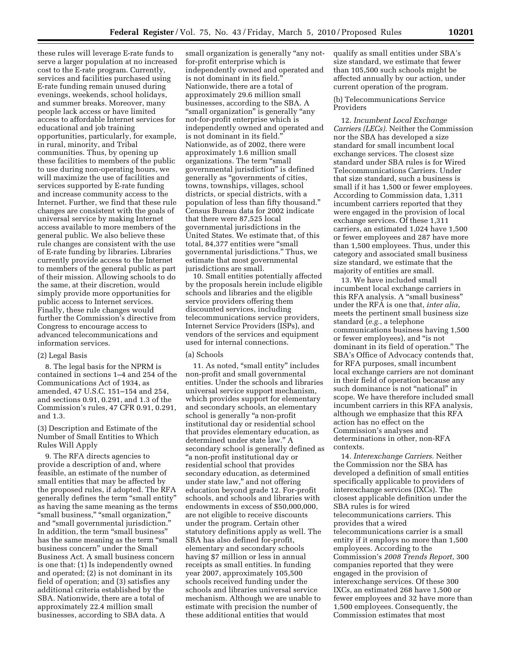these rules will leverage E-rate funds to serve a larger population at no increased cost to the E-rate program. Currently, services and facilities purchased using E-rate funding remain unused during evenings, weekends, school holidays, and summer breaks. Moreover, many people lack access or have limited access to affordable Internet services for educational and job training opportunities, particularly, for example, in rural, minority, and Tribal communities. Thus, by opening up these facilities to members of the public to use during non-operating hours, we will maximize the use of facilities and services supported by E-rate funding and increase community access to the Internet. Further, we find that these rule changes are consistent with the goals of universal service by making Internet access available to more members of the general public. We also believe these rule changes are consistent with the use of E-rate funding by libraries. Libraries currently provide access to the Internet to members of the general public as part of their mission. Allowing schools to do the same, at their discretion, would simply provide more opportunities for public access to Internet services. Finally, these rule changes would further the Commission's directive from Congress to encourage access to advanced telecommunications and information services.

#### (2) Legal Basis

8. The legal basis for the NPRM is contained in sections 1–4 and 254 of the Communications Act of 1934, as amended, 47 U.S.C. 151–154 and 254, and sections 0.91, 0.291, and 1.3 of the Commission's rules, 47 CFR 0.91, 0.291, and 1.3.

### (3) Description and Estimate of the Number of Small Entities to Which Rules Will Apply

9. The RFA directs agencies to provide a description of and, where feasible, an estimate of the number of small entities that may be affected by the proposed rules, if adopted. The RFA generally defines the term ''small entity'' as having the same meaning as the terms "small business," "small organization," and ''small governmental jurisdiction.'' In addition, the term "small business" has the same meaning as the term "small business concern'' under the Small Business Act. A small business concern is one that: (1) Is independently owned and operated; (2) is not dominant in its field of operation; and (3) satisfies any additional criteria established by the SBA. Nationwide, there are a total of approximately 22.4 million small businesses, according to SBA data. A

small organization is generally "any notfor-profit enterprise which is independently owned and operated and is not dominant in its field.'' Nationwide, there are a total of approximately 29.6 million small businesses, according to the SBA. A ''small organization'' is generally ''any not-for-profit enterprise which is independently owned and operated and is not dominant in its field.'' Nationwide, as of 2002, there were approximately 1.6 million small organizations. The term ''small governmental jurisdiction'' is defined generally as ''governments of cities, towns, townships, villages, school districts, or special districts, with a population of less than fifty thousand.'' Census Bureau data for 2002 indicate that there were 87,525 local governmental jurisdictions in the United States. We estimate that, of this total, 84,377 entities were ''small governmental jurisdictions.'' Thus, we estimate that most governmental jurisdictions are small.

10. Small entities potentially affected by the proposals herein include eligible schools and libraries and the eligible service providers offering them discounted services, including telecommunications service providers, Internet Service Providers (ISPs), and vendors of the services and equipment used for internal connections.

#### (a) Schools

11. As noted, "small entity" includes non-profit and small governmental entities. Under the schools and libraries universal service support mechanism, which provides support for elementary and secondary schools, an elementary school is generally "a non-profit institutional day or residential school that provides elementary education, as determined under state law.'' A secondary school is generally defined as ''a non-profit institutional day or residential school that provides secondary education, as determined under state law,'' and not offering education beyond grade 12. For-profit schools, and schools and libraries with endowments in excess of \$50,000,000, are not eligible to receive discounts under the program. Certain other statutory definitions apply as well. The SBA has also defined for-profit, elementary and secondary schools having \$7 million or less in annual receipts as small entities. In funding year 2007, approximately 105,500 schools received funding under the schools and libraries universal service mechanism. Although we are unable to estimate with precision the number of these additional entities that would

qualify as small entities under SBA's size standard, we estimate that fewer than 105,500 such schools might be affected annually by our action, under current operation of the program.

# (b) Telecommunications Service Providers

12. *Incumbent Local Exchange Carriers (LECs).* Neither the Commission nor the SBA has developed a size standard for small incumbent local exchange services. The closest size standard under SBA rules is for Wired Telecommunications Carriers. Under that size standard, such a business is small if it has 1,500 or fewer employees. According to Commission data, 1,311 incumbent carriers reported that they were engaged in the provision of local exchange services. Of these 1,311 carriers, an estimated 1,024 have 1,500 or fewer employees and 287 have more than 1,500 employees. Thus, under this category and associated small business size standard, we estimate that the majority of entities are small.

13. We have included small incumbent local exchange carriers in this RFA analysis. A "small business" under the RFA is one that, *inter alia*, meets the pertinent small business size standard (*e.g.*, a telephone communications business having 1,500 or fewer employees), and ''is not dominant in its field of operation.'' The SBA's Office of Advocacy contends that, for RFA purposes, small incumbent local exchange carriers are not dominant in their field of operation because any such dominance is not "national" in scope. We have therefore included small incumbent carriers in this RFA analysis, although we emphasize that this RFA action has no effect on the Commission's analyses and determinations in other, non-RFA contexts.

14. *Interexchange Carriers.* Neither the Commission nor the SBA has developed a definition of small entities specifically applicable to providers of interexchange services (IXCs). The closest applicable definition under the SBA rules is for wired telecommunications carriers. This provides that a wired telecommunications carrier is a small entity if it employs no more than 1,500 employees. According to the Commission's *2008 Trends Report*, 300 companies reported that they were engaged in the provision of interexchange services. Of these 300 IXCs, an estimated 268 have 1,500 or fewer employees and 32 have more than 1,500 employees. Consequently, the Commission estimates that most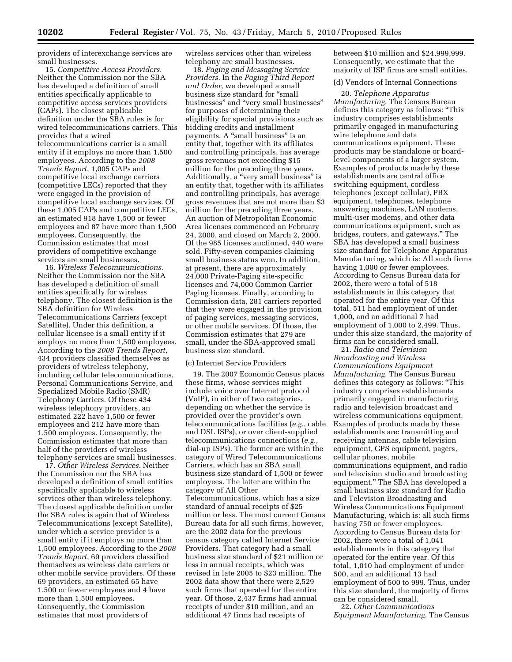providers of interexchange services are small businesses.

15. *Competitive Access Providers.*  Neither the Commission nor the SBA has developed a definition of small entities specifically applicable to competitive access services providers (CAPs). The closest applicable definition under the SBA rules is for wired telecommunications carriers. This provides that a wired telecommunications carrier is a small entity if it employs no more than 1,500 employees. According to the *2008 Trends Report*, 1,005 CAPs and competitive local exchange carriers (competitive LECs) reported that they were engaged in the provision of competitive local exchange services. Of these 1,005 CAPs and competitive LECs, an estimated 918 have 1,500 or fewer employees and 87 have more than 1,500 employees. Consequently, the Commission estimates that most providers of competitive exchange services are small businesses.

16. *Wireless Telecommunications.*  Neither the Commission nor the SBA has developed a definition of small entities specifically for wireless telephony. The closest definition is the SBA definition for Wireless Telecommunications Carriers (except Satellite). Under this definition, a cellular licensee is a small entity if it employs no more than 1,500 employees. According to the *2008 Trends Report*, 434 providers classified themselves as providers of wireless telephony, including cellular telecommunications, Personal Communications Service, and Specialized Mobile Radio (SMR) Telephony Carriers. Of these 434 wireless telephony providers, an estimated 222 have 1,500 or fewer employees and 212 have more than 1,500 employees. Consequently, the Commission estimates that more than half of the providers of wireless telephony services are small businesses.

17. *Other Wireless Services.* Neither the Commission nor the SBA has developed a definition of small entities specifically applicable to wireless services other than wireless telephony. The closest applicable definition under the SBA rules is again that of Wireless Telecommunications (except Satellite), under which a service provider is a small entity if it employs no more than 1,500 employees. According to the *2008 Trends Report*, 69 providers classified themselves as wireless data carriers or other mobile service providers. Of these 69 providers, an estimated 65 have 1,500 or fewer employees and 4 have more than 1,500 employees. Consequently, the Commission estimates that most providers of

wireless services other than wireless telephony are small businesses.

18. *Paging and Messaging Service Providers.* In the *Paging Third Report and Order*, we developed a small business size standard for ''small businesses'' and ''very small businesses'' for purposes of determining their eligibility for special provisions such as bidding credits and installment payments. A "small business" is an entity that, together with its affiliates and controlling principals, has average gross revenues not exceeding \$15 million for the preceding three years. Additionally, a "very small business" is an entity that, together with its affiliates and controlling principals, has average gross revenues that are not more than \$3 million for the preceding three years. An auction of Metropolitan Economic Area licenses commenced on February 24, 2000, and closed on March 2, 2000. Of the 985 licenses auctioned, 440 were sold. Fifty-seven companies claiming small business status won. In addition, at present, there are approximately 24,000 Private-Paging site-specific licenses and 74,000 Common Carrier Paging licenses. Finally, according to Commission data, 281 carriers reported that they were engaged in the provision of paging services, messaging services, or other mobile services. Of those, the Commission estimates that 279 are small, under the SBA-approved small business size standard.

# (c) Internet Service Providers

19. The 2007 Economic Census places these firms, whose services might include voice over Internet protocol (VoIP), in either of two categories, depending on whether the service is provided over the provider's own telecommunications facilities (*e.g.*, cable and DSL ISPs), or over client-supplied telecommunications connections (*e.g.*, dial-up ISPs). The former are within the category of Wired Telecommunications Carriers, which has an SBA small business size standard of 1,500 or fewer employees. The latter are within the category of All Other Telecommunications, which has a size standard of annual receipts of \$25 million or less. The most current Census Bureau data for all such firms, however, are the 2002 data for the previous census category called Internet Service Providers. That category had a small business size standard of \$21 million or less in annual receipts, which was revised in late 2005 to \$23 million. The 2002 data show that there were 2,529 such firms that operated for the entire year. Of those, 2,437 firms had annual receipts of under \$10 million, and an additional 47 firms had receipts of

between \$10 million and \$24,999,999. Consequently, we estimate that the majority of ISP firms are small entities.

### (d) Vendors of Internal Connections

20. *Telephone Apparatus Manufacturing.* The Census Bureau defines this category as follows: ''This industry comprises establishments primarily engaged in manufacturing wire telephone and data communications equipment. These products may be standalone or boardlevel components of a larger system. Examples of products made by these establishments are central office switching equipment, cordless telephones (except cellular), PBX equipment, telephones, telephone answering machines, LAN modems, multi-user modems, and other data communications equipment, such as bridges, routers, and gateways.'' The SBA has developed a small business size standard for Telephone Apparatus Manufacturing, which is: All such firms having 1,000 or fewer employees. According to Census Bureau data for 2002, there were a total of 518 establishments in this category that operated for the entire year. Of this total, 511 had employment of under 1,000, and an additional 7 had employment of 1,000 to 2,499. Thus, under this size standard, the majority of firms can be considered small.

21. *Radio and Television Broadcasting and Wireless Communications Equipment Manufacturing.* The Census Bureau defines this category as follows: ''This industry comprises establishments primarily engaged in manufacturing radio and television broadcast and wireless communications equipment. Examples of products made by these establishments are: transmitting and receiving antennas, cable television equipment, GPS equipment, pagers, cellular phones, mobile communications equipment, and radio and television studio and broadcasting equipment.'' The SBA has developed a small business size standard for Radio and Television Broadcasting and Wireless Communications Equipment Manufacturing, which is: all such firms having 750 or fewer employees. According to Census Bureau data for 2002, there were a total of 1,041 establishments in this category that operated for the entire year. Of this total, 1,010 had employment of under 500, and an additional 13 had employment of 500 to 999. Thus, under this size standard, the majority of firms can be considered small.

22. *Other Communications Equipment Manufacturing.* The Census